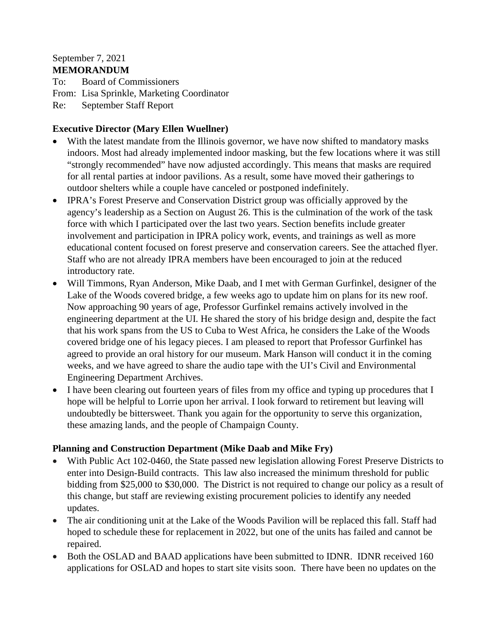#### September 7, 2021 **MEMORANDUM**

To: Board of Commissioners From: Lisa Sprinkle, Marketing Coordinator Re: September Staff Report

#### **Executive Director (Mary Ellen Wuellner)**

- With the latest mandate from the Illinois governor, we have now shifted to mandatory masks indoors. Most had already implemented indoor masking, but the few locations where it was still "strongly recommended" have now adjusted accordingly. This means that masks are required for all rental parties at indoor pavilions. As a result, some have moved their gatherings to outdoor shelters while a couple have canceled or postponed indefinitely.
- IPRA's Forest Preserve and Conservation District group was officially approved by the agency's leadership as a Section on August 26. This is the culmination of the work of the task force with which I participated over the last two years. Section benefits include greater involvement and participation in IPRA policy work, events, and trainings as well as more educational content focused on forest preserve and conservation careers. See the attached flyer. Staff who are not already IPRA members have been encouraged to join at the reduced introductory rate.
- Will Timmons, Ryan Anderson, Mike Daab, and I met with German Gurfinkel, designer of the Lake of the Woods covered bridge, a few weeks ago to update him on plans for its new roof. Now approaching 90 years of age, Professor Gurfinkel remains actively involved in the engineering department at the UI. He shared the story of his bridge design and, despite the fact that his work spans from the US to Cuba to West Africa, he considers the Lake of the Woods covered bridge one of his legacy pieces. I am pleased to report that Professor Gurfinkel has agreed to provide an oral history for our museum. Mark Hanson will conduct it in the coming weeks, and we have agreed to share the audio tape with the UI's Civil and Environmental Engineering Department Archives.
- I have been clearing out fourteen years of files from my office and typing up procedures that I hope will be helpful to Lorrie upon her arrival. I look forward to retirement but leaving will undoubtedly be bittersweet. Thank you again for the opportunity to serve this organization, these amazing lands, and the people of Champaign County.

#### **Planning and Construction Department (Mike Daab and Mike Fry)**

- With Public Act 102-0460, the State passed new legislation allowing Forest Preserve Districts to enter into Design-Build contracts. This law also increased the minimum threshold for public bidding from \$25,000 to \$30,000. The District is not required to change our policy as a result of this change, but staff are reviewing existing procurement policies to identify any needed updates.
- The air conditioning unit at the Lake of the Woods Pavilion will be replaced this fall. Staff had hoped to schedule these for replacement in 2022, but one of the units has failed and cannot be repaired.
- Both the OSLAD and BAAD applications have been submitted to IDNR. IDNR received 160 applications for OSLAD and hopes to start site visits soon. There have been no updates on the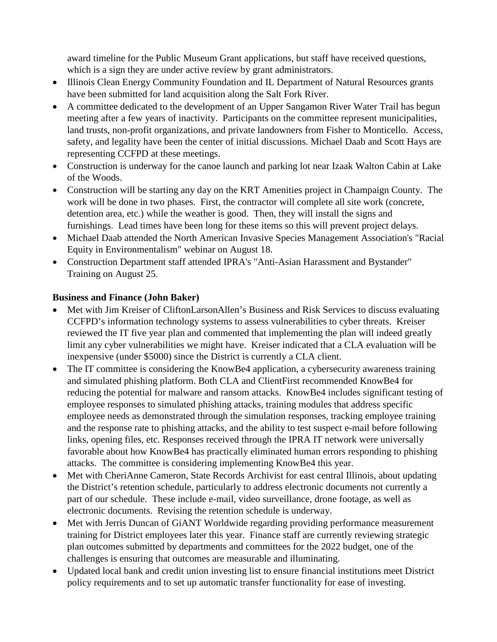award timeline for the Public Museum Grant applications, but staff have received questions, which is a sign they are under active review by grant administrators.

- Illinois Clean Energy Community Foundation and IL Department of Natural Resources grants have been submitted for land acquisition along the Salt Fork River.
- A committee dedicated to the development of an Upper Sangamon River Water Trail has begun meeting after a few years of inactivity. Participants on the committee represent municipalities, land trusts, non-profit organizations, and private landowners from Fisher to Monticello. Access, safety, and legality have been the center of initial discussions. Michael Daab and Scott Hays are representing CCFPD at these meetings.
- Construction is underway for the canoe launch and parking lot near Izaak Walton Cabin at Lake of the Woods.
- Construction will be starting any day on the KRT Amenities project in Champaign County. The work will be done in two phases. First, the contractor will complete all site work (concrete, detention area, etc.) while the weather is good. Then, they will install the signs and furnishings. Lead times have been long for these items so this will prevent project delays.
- Michael Daab attended the North American Invasive Species Management Association's "Racial Equity in Environmentalism" webinar on August 18.
- Construction Department staff attended IPRA's "Anti-Asian Harassment and Bystander" Training on August 25.

## **Business and Finance (John Baker)**

- Met with Jim Kreiser of CliftonLarsonAllen's Business and Risk Services to discuss evaluating CCFPD's information technology systems to assess vulnerabilities to cyber threats. Kreiser reviewed the IT five year plan and commented that implementing the plan will indeed greatly limit any cyber vulnerabilities we might have. Kreiser indicated that a CLA evaluation will be inexpensive (under \$5000) since the District is currently a CLA client.
- The IT committee is considering the KnowBe4 application, a cybersecurity awareness training and simulated phishing platform. Both CLA and ClientFirst recommended KnowBe4 for reducing the potential for malware and ransom attacks. KnowBe4 includes significant testing of employee responses to simulated phishing attacks, training modules that address specific employee needs as demonstrated through the simulation responses, tracking employee training and the response rate to phishing attacks, and the ability to test suspect e-mail before following links, opening files, etc. Responses received through the IPRA IT network were universally favorable about how KnowBe4 has practically eliminated human errors responding to phishing attacks. The committee is considering implementing KnowBe4 this year.
- Met with CheriAnne Cameron, State Records Archivist for east central Illinois, about updating the District's retention schedule, particularly to address electronic documents not currently a part of our schedule. These include e-mail, video surveillance, drone footage, as well as electronic documents. Revising the retention schedule is underway.
- Met with Jerris Duncan of GiANT Worldwide regarding providing performance measurement training for District employees later this year. Finance staff are currently reviewing strategic plan outcomes submitted by departments and committees for the 2022 budget, one of the challenges is ensuring that outcomes are measurable and illuminating.
- Updated local bank and credit union investing list to ensure financial institutions meet District policy requirements and to set up automatic transfer functionality for ease of investing.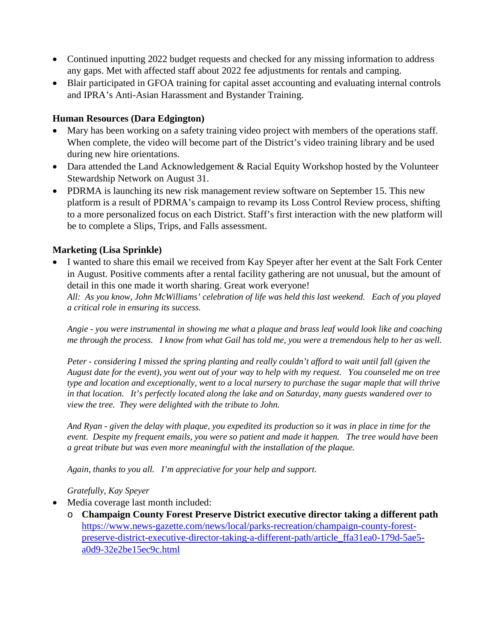- Continued inputting 2022 budget requests and checked for any missing information to address any gaps. Met with affected staff about 2022 fee adjustments for rentals and camping.
- Blair participated in GFOA training for capital asset accounting and evaluating internal controls and IPRA's Anti-Asian Harassment and Bystander Training.

#### **Human Resources (Dara Edgington)**

- Mary has been working on a safety training video project with members of the operations staff. When complete, the video will become part of the District's video training library and be used during new hire orientations.
- Dara attended the Land Acknowledgement & Racial Equity Workshop hosted by the Volunteer Stewardship Network on August 31.
- PDRMA is launching its new risk management review software on September 15. This new platform is a result of PDRMA's campaign to revamp its Loss Control Review process, shifting to a more personalized focus on each District. Staff's first interaction with the new platform will be to complete a Slips, Trips, and Falls assessment.

## **Marketing (Lisa Sprinkle)**

• I wanted to share this email we received from Kay Speyer after her event at the Salt Fork Center in August. Positive comments after a rental facility gathering are not unusual, but the amount of detail in this one made it worth sharing. Great work everyone!

*All: As you know, John McWilliams' celebration of life was held this last weekend. Each of you played a critical role in ensuring its success.*

*Angie - you were instrumental in showing me what a plaque and brass leaf would look like and coaching me through the process. I know from what Gail has told me, you were a tremendous help to her as well.* 

*Peter - considering I missed the spring planting and really couldn't afford to wait until fall (given the August date for the event), you went out of your way to help with my request. You counseled me on tree type and location and exceptionally, went to a local nursery to purchase the sugar maple that will thrive in that location. It's perfectly located along the lake and on Saturday, many guests wandered over to view the tree. They were delighted with the tribute to John.* 

*And Ryan - given the delay with plaque, you expedited its production so it was in place in time for the event. Despite my frequent emails, you were so patient and made it happen. The tree would have been a great tribute but was even more meaningful with the installation of the plaque.* 

*Again, thanks to you all. I'm appreciative for your help and support.*

#### *Gratefully, Kay Speyer*

- Media coverage last month included:
	- o **Champaign County Forest Preserve District executive director taking a different path** [https://www.news-gazette.com/news/local/parks-recreation/champaign-county-forest](https://www.news-gazette.com/news/local/parks-recreation/champaign-county-forest-preserve-district-executive-director-taking-a-different-path/article_ffa31ea0-179d-5ae5-a0d9-32e2be15ec9c.html)[preserve-district-executive-director-taking-a-different-path/article\\_ffa31ea0-179d-5ae5](https://www.news-gazette.com/news/local/parks-recreation/champaign-county-forest-preserve-district-executive-director-taking-a-different-path/article_ffa31ea0-179d-5ae5-a0d9-32e2be15ec9c.html) [a0d9-32e2be15ec9c.html](https://www.news-gazette.com/news/local/parks-recreation/champaign-county-forest-preserve-district-executive-director-taking-a-different-path/article_ffa31ea0-179d-5ae5-a0d9-32e2be15ec9c.html)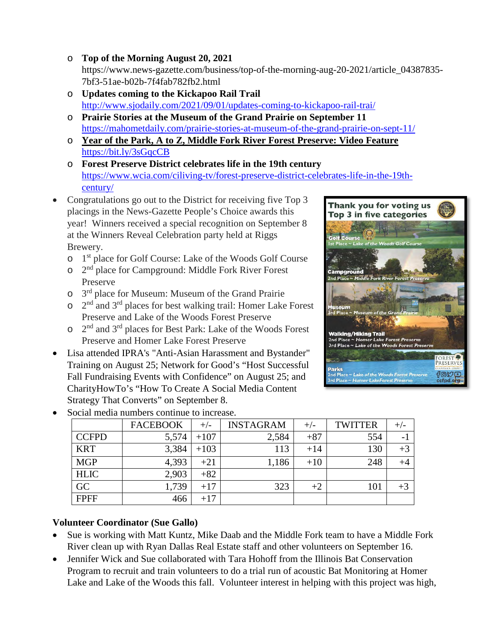- o **Top of the Morning August 20, 2021** https://www.news-gazette.com/business/top-of-the-morning-aug-20-2021/article\_04387835- 7bf3-51ae-b02b-7f4fab782fb2.html
- o **Updates coming to the Kickapoo Rail Trail** <http://www.sjodaily.com/2021/09/01/updates-coming-to-kickapoo-rail-trai/>
- o **Prairie Stories at the Museum of the Grand Prairie on September 11** <https://mahometdaily.com/prairie-stories-at-museum-of-the-grand-prairie-on-sept-11/>
- o **Year of the Park, A to Z, Middle Fork River Forest Preserve: Video Feature** [https://bit.ly/3sGqcCB](https://l.facebook.com/l.php?u=https%3A%2F%2Fbit.ly%2F3sGqcCB%3Ffbclid%3DIwAR2irgA9GN2trF3xP94mHDkc8lHSvOtZCKTO5fKMBAomrr2hBsjCzQv76dI&h=AT0P3Tf4GHthQZFp8NCkqoT4fRdafSJJehFpmgwMcDsXoQKIv_Y2BnT4beiGcXUim9OHHLSrBc_FiGanqbnY94xcDbu7NW-VmIYYsk1I7YZyWuHnyFL970AyNPWpXWDfKg&__tn__=-UK-R&c%5b0%5d=AT3kOtpMNKW4ixb9SyrZgd8ZO7Sgs4MPMqYwBbfaCzK6Q8RhkkIxflTLlv-v1vLEUBGlh1sZzMyRpsiZPDE_WwxJaeGyiFawusGTXx6YiPjsAPXvHgeLdH99LihHRMIkHgJR6zLsVCn8VM-3x7rLfuPbQIP6simp5QPQ5_lEjGP8dOJatculX1jVtA)
- o **Forest Preserve District celebrates life in the 19th century** [https://www.wcia.com/ciliving-tv/forest-preserve-district-celebrates-life-in-the-19th](https://www.wcia.com/ciliving-tv/forest-preserve-district-celebrates-life-in-the-19th-century/)[century/](https://www.wcia.com/ciliving-tv/forest-preserve-district-celebrates-life-in-the-19th-century/)
- Congratulations go out to the District for receiving five Top 3 placings in the News-Gazette People's Choice awards this year! Winners received a special recognition on September 8 at the Winners Reveal Celebration party held at Riggs Brewery.
	- o 1st place for Golf Course: Lake of the Woods Golf Course
	- $\circ$   $2<sup>nd</sup>$  place for Campground: Middle Fork River Forest Preserve
	- o 3rd place for Museum: Museum of the Grand Prairie
	- $\circ$  2<sup>nd</sup> and 3<sup>rd</sup> places for best walking trail: Homer Lake Forest Preserve and Lake of the Woods Forest Preserve
	- $\circ$  2<sup>nd</sup> and 3<sup>rd</sup> places for Best Park: Lake of the Woods Forest Preserve and Homer Lake Forest Preserve
- Lisa attended IPRA's "Anti-Asian Harassment and Bystander" Training on August 25; Network for Good's "Host Successful Fall Fundraising Events with Confidence" on August 25; and CharityHowTo's "How To Create A Social Media Content Strategy That Converts" on September 8.



| Social media numbers continue to increase. |              |                 |        |                  |       |                |         |  |  |  |
|--------------------------------------------|--------------|-----------------|--------|------------------|-------|----------------|---------|--|--|--|
|                                            |              | <b>FACEBOOK</b> | $+/-$  | <b>INSTAGRAM</b> | $+/-$ | <b>TWITTER</b> | $+/-$   |  |  |  |
|                                            | <b>CCFPD</b> | 5,574           | $+107$ | 2,584            | $+87$ | 554            |         |  |  |  |
|                                            | <b>KRT</b>   | 3,384           | $+103$ | 113              | $+14$ | 130            | $+3$    |  |  |  |
|                                            | <b>MGP</b>   | 4,393           | $+21$  | 1,186            | $+10$ | 248            | $^{+4}$ |  |  |  |
|                                            | <b>HLIC</b>  | 2,903           | $+82$  |                  |       |                |         |  |  |  |
|                                            | GC           | 1,739           | $+17$  | 323              | $+2$  | 101            | $+3$    |  |  |  |
|                                            | <b>FPFF</b>  | 466             | $+17$  |                  |       |                |         |  |  |  |

• Social media numbers continue to increase.

# **Volunteer Coordinator (Sue Gallo)**

- Sue is working with Matt Kuntz, Mike Daab and the Middle Fork team to have a Middle Fork River clean up with Ryan Dallas Real Estate staff and other volunteers on September 16.
- Jennifer Wick and Sue collaborated with Tara Hohoff from the Illinois Bat Conservation Program to recruit and train volunteers to do a trial run of acoustic Bat Monitoring at Homer Lake and Lake of the Woods this fall. Volunteer interest in helping with this project was high,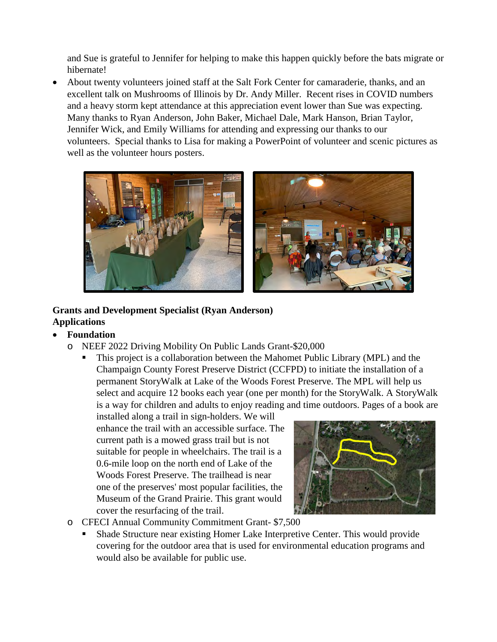and Sue is grateful to Jennifer for helping to make this happen quickly before the bats migrate or hibernate!

• About twenty volunteers joined staff at the Salt Fork Center for camaraderie, thanks, and an excellent talk on Mushrooms of Illinois by Dr. Andy Miller. Recent rises in COVID numbers and a heavy storm kept attendance at this appreciation event lower than Sue was expecting. Many thanks to Ryan Anderson, John Baker, Michael Dale, Mark Hanson, Brian Taylor, Jennifer Wick, and Emily Williams for attending and expressing our thanks to our volunteers. Special thanks to Lisa for making a PowerPoint of volunteer and scenic pictures as well as the volunteer hours posters.



# **Grants and Development Specialist (Ryan Anderson) Applications**

- **Foundation** 
	- o NEEF 2022 Driving Mobility On Public Lands Grant-\$20,000
		- This project is a collaboration between the Mahomet Public Library (MPL) and the Champaign County Forest Preserve District (CCFPD) to initiate the installation of a permanent StoryWalk at Lake of the Woods Forest Preserve. The MPL will help us select and acquire 12 books each year (one per month) for the StoryWalk. A StoryWalk is a way for children and adults to enjoy reading and time outdoors. Pages of a book are

installed along a trail in sign-holders. We will enhance the trail with an accessible surface. The current path is a mowed grass trail but is not suitable for people in wheelchairs. The trail is a 0.6-mile loop on the north end of Lake of the Woods Forest Preserve. The trailhead is near one of the preserves' most popular facilities, the Museum of the Grand Prairie. This grant would cover the resurfacing of the trail.



- o CFECI Annual Community Commitment Grant- \$7,500
	- Shade Structure near existing Homer Lake Interpretive Center. This would provide covering for the outdoor area that is used for environmental education programs and would also be available for public use.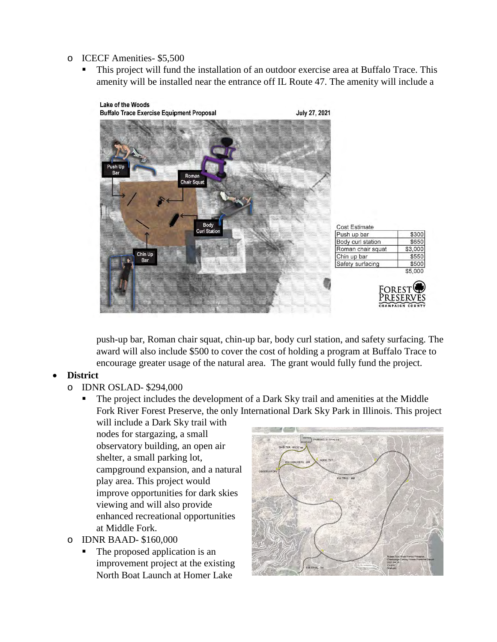- o ICECF Amenities- \$5,500
	- This project will fund the installation of an outdoor exercise area at Buffalo Trace. This amenity will be installed near the entrance off IL Route 47. The amenity will include a



push-up bar, Roman chair squat, chin-up bar, body curl station, and safety surfacing. The award will also include \$500 to cover the cost of holding a program at Buffalo Trace to encourage greater usage of the natural area. The grant would fully fund the project.

#### • **District**

- o IDNR OSLAD- \$294,000
	- The project includes the development of a Dark Sky trail and amenities at the Middle Fork River Forest Preserve, the only International Dark Sky Park in Illinois. This project
		- will include a Dark Sky trail with nodes for stargazing, a small observatory building, an open air shelter, a small parking lot, campground expansion, and a natural play area. This project would improve opportunities for dark skies viewing and will also provide enhanced recreational opportunities at Middle Fork.
- o IDNR BAAD- \$160,000
	- The proposed application is an improvement project at the existing North Boat Launch at Homer Lake

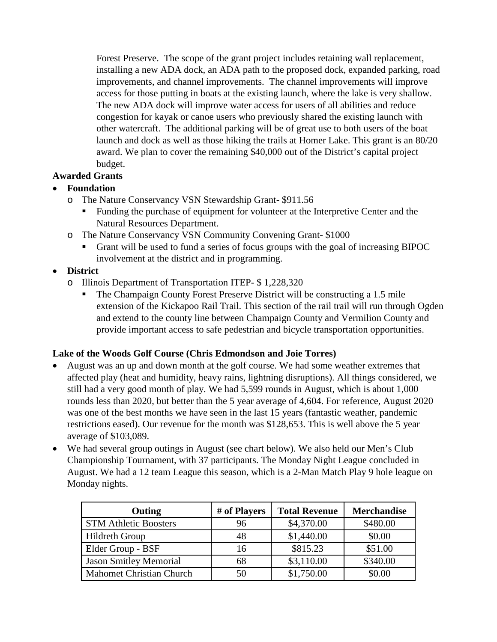Forest Preserve. The scope of the grant project includes retaining wall replacement, installing a new ADA dock, an ADA path to the proposed dock, expanded parking, road improvements, and channel improvements. The channel improvements will improve access for those putting in boats at the existing launch, where the lake is very shallow. The new ADA dock will improve water access for users of all abilities and reduce congestion for kayak or canoe users who previously shared the existing launch with other watercraft. The additional parking will be of great use to both users of the boat launch and dock as well as those hiking the trails at Homer Lake. This grant is an 80/20 award. We plan to cover the remaining \$40,000 out of the District's capital project budget.

#### **Awarded Grants**

#### • **Foundation**

- o The Nature Conservancy VSN Stewardship Grant- \$911.56
	- Funding the purchase of equipment for volunteer at the Interpretive Center and the Natural Resources Department.
- o The Nature Conservancy VSN Community Convening Grant- \$1000
	- Grant will be used to fund a series of focus groups with the goal of increasing BIPOC involvement at the district and in programming.
- **District**
	- o Illinois Department of Transportation ITEP- \$ 1,228,320
		- The Champaign County Forest Preserve District will be constructing a 1.5 mile extension of the Kickapoo Rail Trail. This section of the rail trail will run through Ogden and extend to the county line between Champaign County and Vermilion County and provide important access to safe pedestrian and bicycle transportation opportunities.

#### **Lake of the Woods Golf Course (Chris Edmondson and Joie Torres)**

- August was an up and down month at the golf course. We had some weather extremes that affected play (heat and humidity, heavy rains, lightning disruptions). All things considered, we still had a very good month of play. We had 5,599 rounds in August, which is about 1,000 rounds less than 2020, but better than the 5 year average of 4,604. For reference, August 2020 was one of the best months we have seen in the last 15 years (fantastic weather, pandemic restrictions eased). Our revenue for the month was \$128,653. This is well above the 5 year average of \$103,089.
- We had several group outings in August (see chart below). We also held our Men's Club Championship Tournament, with 37 participants. The Monday Night League concluded in August. We had a 12 team League this season, which is a 2-Man Match Play 9 hole league on Monday nights.

| Outing                          | # of Players | <b>Total Revenue</b> | <b>Merchandise</b> |
|---------------------------------|--------------|----------------------|--------------------|
| <b>STM Athletic Boosters</b>    | 96           | \$4,370.00           | \$480.00           |
| Hildreth Group                  | 48           | \$1,440.00           | \$0.00             |
| Elder Group - BSF               | 16           | \$815.23             | \$51.00            |
| <b>Jason Smitley Memorial</b>   | 68           | \$3,110.00           | \$340.00           |
| <b>Mahomet Christian Church</b> | 50           | \$1,750.00           | \$0.00             |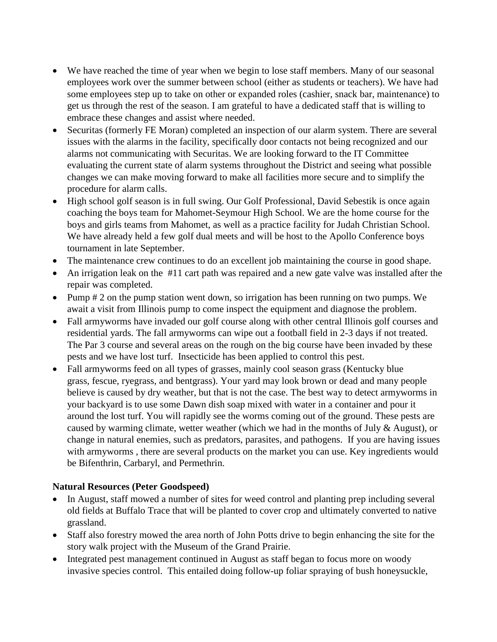- We have reached the time of year when we begin to lose staff members. Many of our seasonal employees work over the summer between school (either as students or teachers). We have had some employees step up to take on other or expanded roles (cashier, snack bar, maintenance) to get us through the rest of the season. I am grateful to have a dedicated staff that is willing to embrace these changes and assist where needed.
- Securitas (formerly FE Moran) completed an inspection of our alarm system. There are several issues with the alarms in the facility, specifically door contacts not being recognized and our alarms not communicating with Securitas. We are looking forward to the IT Committee evaluating the current state of alarm systems throughout the District and seeing what possible changes we can make moving forward to make all facilities more secure and to simplify the procedure for alarm calls.
- High school golf season is in full swing. Our Golf Professional, David Sebestik is once again coaching the boys team for Mahomet-Seymour High School. We are the home course for the boys and girls teams from Mahomet, as well as a practice facility for Judah Christian School. We have already held a few golf dual meets and will be host to the Apollo Conference boys tournament in late September.
- The maintenance crew continues to do an excellent job maintaining the course in good shape.
- An irrigation leak on the #11 cart path was repaired and a new gate valve was installed after the repair was completed.
- Pump # 2 on the pump station went down, so irrigation has been running on two pumps. We await a visit from Illinois pump to come inspect the equipment and diagnose the problem.
- Fall armyworms have invaded our golf course along with other central Illinois golf courses and residential yards. The fall armyworms can wipe out a football field in 2-3 days if not treated. The Par 3 course and several areas on the rough on the big course have been invaded by these pests and we have lost turf. Insecticide has been applied to control this pest.
- Fall armyworms feed on all types of grasses, mainly cool season grass (Kentucky blue grass, fescue, ryegrass, and bentgrass). Your yard may look brown or dead and many people believe is caused by dry weather, but that is not the case. The best way to detect armyworms in your backyard is to use some Dawn dish soap mixed with water in a container and pour it around the lost turf. You will rapidly see the worms coming out of the ground. These pests are caused by warming climate, wetter weather (which we had in the months of July & August), or change in natural enemies, such as predators, parasites, and pathogens. If you are having issues with armyworms , there are several products on the market you can use. Key ingredients would be Bifenthrin, Carbaryl, and Permethrin.

#### **Natural Resources (Peter Goodspeed)**

- In August, staff mowed a number of sites for weed control and planting prep including several old fields at Buffalo Trace that will be planted to cover crop and ultimately converted to native grassland.
- Staff also forestry mowed the area north of John Potts drive to begin enhancing the site for the story walk project with the Museum of the Grand Prairie.
- Integrated pest management continued in August as staff began to focus more on woody invasive species control. This entailed doing follow-up foliar spraying of bush honeysuckle,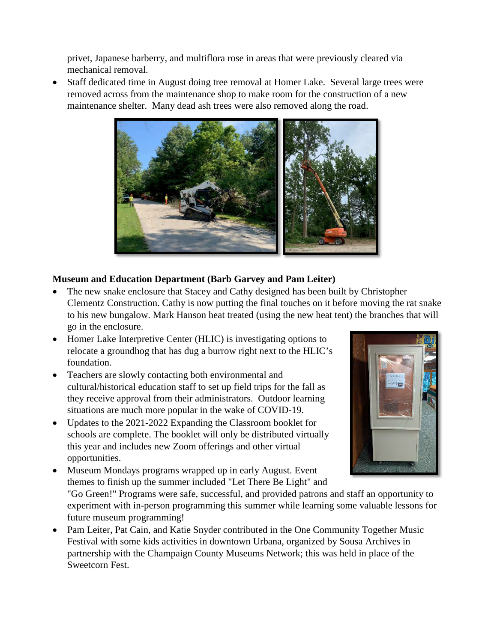privet, Japanese barberry, and multiflora rose in areas that were previously cleared via mechanical removal.

• Staff dedicated time in August doing tree removal at Homer Lake. Several large trees were removed across from the maintenance shop to make room for the construction of a new maintenance shelter. Many dead ash trees were also removed along the road.



# **Museum and Education Department (Barb Garvey and Pam Leiter)**

- The new snake enclosure that Stacey and Cathy designed has been built by Christopher Clementz Construction. Cathy is now putting the final touches on it before moving the rat snake to his new bungalow. Mark Hanson heat treated (using the new heat tent) the branches that will go in the enclosure.
- Homer Lake Interpretive Center (HLIC) is investigating options to relocate a groundhog that has dug a burrow right next to the HLIC's foundation.
- Teachers are slowly contacting both environmental and cultural/historical education staff to set up field trips for the fall as they receive approval from their administrators. Outdoor learning situations are much more popular in the wake of COVID-19.
- Updates to the 2021-2022 Expanding the Classroom booklet for schools are complete. The booklet will only be distributed virtually this year and includes new Zoom offerings and other virtual opportunities.
- 
- Museum Mondays programs wrapped up in early August. Event themes to finish up the summer included "Let There Be Light" and "Go Green!" Programs were safe, successful, and provided patrons and staff an opportunity to experiment with in-person programming this summer while learning some valuable lessons for future museum programming!
- Pam Leiter, Pat Cain, and Katie Snyder contributed in the One Community Together Music Festival with some kids activities in downtown Urbana, organized by Sousa Archives in partnership with the Champaign County Museums Network; this was held in place of the Sweetcorn Fest.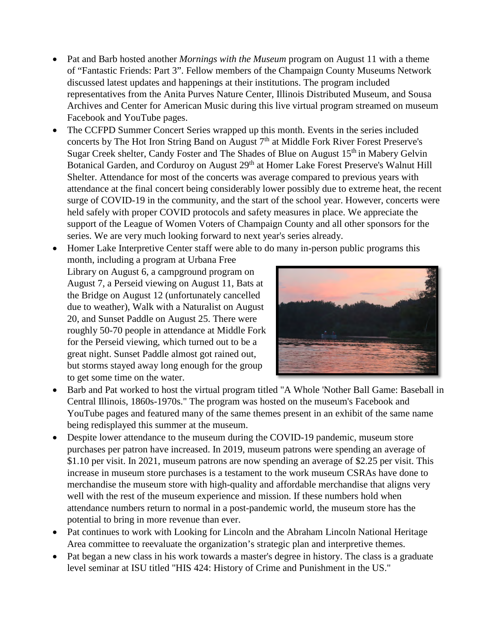- Pat and Barb hosted another *Mornings with the Museum* program on August 11 with a theme of "Fantastic Friends: Part 3". Fellow members of the Champaign County Museums Network discussed latest updates and happenings at their institutions. The program included representatives from the Anita Purves Nature Center, Illinois Distributed Museum, and Sousa Archives and Center for American Music during this live virtual program streamed on museum Facebook and YouTube pages.
- The CCFPD Summer Concert Series wrapped up this month. Events in the series included concerts by The Hot Iron String Band on August 7<sup>th</sup> at Middle Fork River Forest Preserve's Sugar Creek shelter, Candy Foster and The Shades of Blue on August  $15<sup>th</sup>$  in Mabery Gelvin Botanical Garden, and Corduroy on August 29<sup>th</sup> at Homer Lake Forest Preserve's Walnut Hill Shelter. Attendance for most of the concerts was average compared to previous years with attendance at the final concert being considerably lower possibly due to extreme heat, the recent surge of COVID-19 in the community, and the start of the school year. However, concerts were held safely with proper COVID protocols and safety measures in place. We appreciate the support of the League of Women Voters of Champaign County and all other sponsors for the series. We are very much looking forward to next year's series already.
- Homer Lake Interpretive Center staff were able to do many in-person public programs this month, including a program at Urbana Free Library on August 6, a campground program on August 7, a Perseid viewing on August 11, Bats at the Bridge on August 12 (unfortunately cancelled due to weather), Walk with a Naturalist on August 20, and Sunset Paddle on August 25. There were roughly 50-70 people in attendance at Middle Fork for the Perseid viewing, which turned out to be a great night. Sunset Paddle almost got rained out, but storms stayed away long enough for the group to get some time on the water.
- Barb and Pat worked to host the virtual program titled "A Whole 'Nother Ball Game: Baseball in Central Illinois, 1860s-1970s." The program was hosted on the museum's Facebook and YouTube pages and featured many of the same themes present in an exhibit of the same name being redisplayed this summer at the museum.
- Despite lower attendance to the museum during the COVID-19 pandemic, museum store purchases per patron have increased. In 2019, museum patrons were spending an average of \$1.10 per visit. In 2021, museum patrons are now spending an average of \$2.25 per visit. This increase in museum store purchases is a testament to the work museum CSRAs have done to merchandise the museum store with high-quality and affordable merchandise that aligns very well with the rest of the museum experience and mission. If these numbers hold when attendance numbers return to normal in a post-pandemic world, the museum store has the potential to bring in more revenue than ever.
- Pat continues to work with Looking for Lincoln and the Abraham Lincoln National Heritage Area committee to reevaluate the organization's strategic plan and interpretive themes.
- Pat began a new class in his work towards a master's degree in history. The class is a graduate level seminar at ISU titled "HIS 424: History of Crime and Punishment in the US."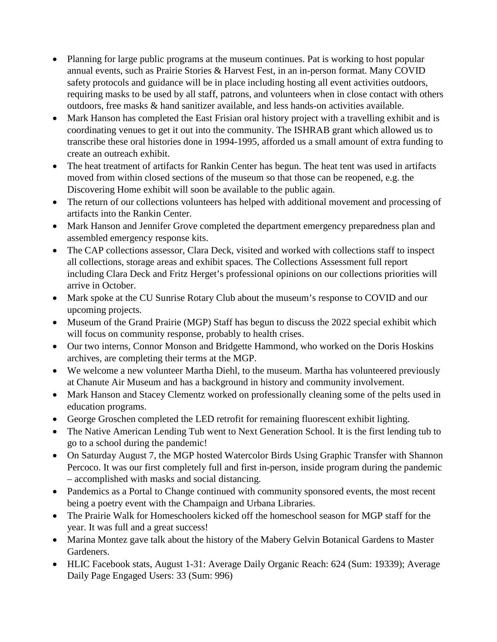- Planning for large public programs at the museum continues. Pat is working to host popular annual events, such as Prairie Stories & Harvest Fest, in an in-person format. Many COVID safety protocols and guidance will be in place including hosting all event activities outdoors, requiring masks to be used by all staff, patrons, and volunteers when in close contact with others outdoors, free masks & hand sanitizer available, and less hands-on activities available.
- Mark Hanson has completed the East Frisian oral history project with a travelling exhibit and is coordinating venues to get it out into the community. The ISHRAB grant which allowed us to transcribe these oral histories done in 1994-1995, afforded us a small amount of extra funding to create an outreach exhibit.
- The heat treatment of artifacts for Rankin Center has begun. The heat tent was used in artifacts moved from within closed sections of the museum so that those can be reopened, e.g. the Discovering Home exhibit will soon be available to the public again.
- The return of our collections volunteers has helped with additional movement and processing of artifacts into the Rankin Center.
- Mark Hanson and Jennifer Grove completed the department emergency preparedness plan and assembled emergency response kits.
- The CAP collections assessor, Clara Deck, visited and worked with collections staff to inspect all collections, storage areas and exhibit spaces. The Collections Assessment full report including Clara Deck and Fritz Herget's professional opinions on our collections priorities will arrive in October.
- Mark spoke at the CU Sunrise Rotary Club about the museum's response to COVID and our upcoming projects.
- Museum of the Grand Prairie (MGP) Staff has begun to discuss the 2022 special exhibit which will focus on community response, probably to health crises.
- Our two interns, Connor Monson and Bridgette Hammond, who worked on the Doris Hoskins archives, are completing their terms at the MGP.
- We welcome a new volunteer Martha Diehl, to the museum. Martha has volunteered previously at Chanute Air Museum and has a background in history and community involvement.
- Mark Hanson and Stacey Clementz worked on professionally cleaning some of the pelts used in education programs.
- George Groschen completed the LED retrofit for remaining fluorescent exhibit lighting.
- The Native American Lending Tub went to Next Generation School. It is the first lending tub to go to a school during the pandemic!
- On Saturday August 7, the MGP hosted Watercolor Birds Using Graphic Transfer with Shannon Percoco. It was our first completely full and first in-person, inside program during the pandemic – accomplished with masks and social distancing.
- Pandemics as a Portal to Change continued with community sponsored events, the most recent being a poetry event with the Champaign and Urbana Libraries.
- The Prairie Walk for Homeschoolers kicked off the homeschool season for MGP staff for the year. It was full and a great success!
- Marina Montez gave talk about the history of the Mabery Gelvin Botanical Gardens to Master Gardeners.
- HLIC Facebook stats, August 1-31: Average Daily Organic Reach: 624 (Sum: 19339); Average Daily Page Engaged Users: 33 (Sum: 996)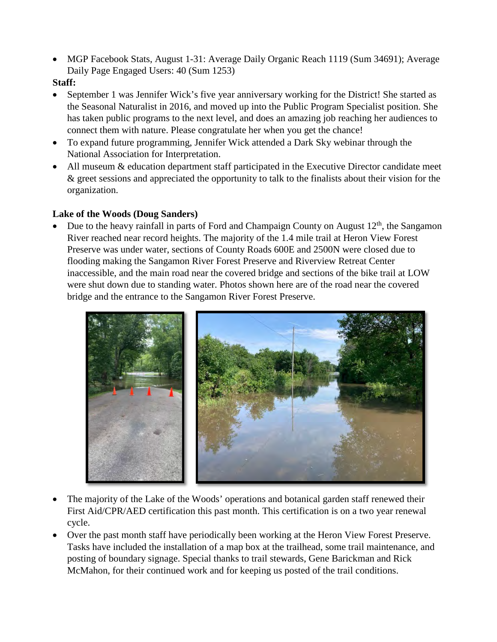• MGP Facebook Stats, August 1-31: Average Daily Organic Reach 1119 (Sum 34691); Average Daily Page Engaged Users: 40 (Sum 1253)

#### **Staff:**

- September 1 was Jennifer Wick's five year anniversary working for the District! She started as the Seasonal Naturalist in 2016, and moved up into the Public Program Specialist position. She has taken public programs to the next level, and does an amazing job reaching her audiences to connect them with nature. Please congratulate her when you get the chance!
- To expand future programming, Jennifer Wick attended a Dark Sky webinar through the National Association for Interpretation.
- All museum & education department staff participated in the Executive Director candidate meet & greet sessions and appreciated the opportunity to talk to the finalists about their vision for the organization.

#### **Lake of the Woods (Doug Sanders)**

Due to the heavy rainfall in parts of Ford and Champaign County on August  $12<sup>th</sup>$ , the Sangamon River reached near record heights. The majority of the 1.4 mile trail at Heron View Forest Preserve was under water, sections of County Roads 600E and 2500N were closed due to flooding making the Sangamon River Forest Preserve and Riverview Retreat Center inaccessible, and the main road near the covered bridge and sections of the bike trail at LOW were shut down due to standing water. Photos shown here are of the road near the covered bridge and the entrance to the Sangamon River Forest Preserve.



- The majority of the Lake of the Woods' operations and botanical garden staff renewed their First Aid/CPR/AED certification this past month. This certification is on a two year renewal cycle.
- Over the past month staff have periodically been working at the Heron View Forest Preserve. Tasks have included the installation of a map box at the trailhead, some trail maintenance, and posting of boundary signage. Special thanks to trail stewards, Gene Barickman and Rick McMahon, for their continued work and for keeping us posted of the trail conditions.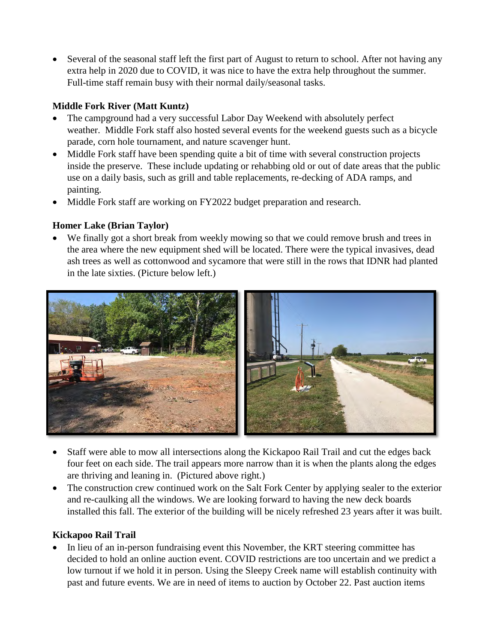• Several of the seasonal staff left the first part of August to return to school. After not having any extra help in 2020 due to COVID, it was nice to have the extra help throughout the summer. Full-time staff remain busy with their normal daily/seasonal tasks.

# **Middle Fork River (Matt Kuntz)**

- The campground had a very successful Labor Day Weekend with absolutely perfect weather. Middle Fork staff also hosted several events for the weekend guests such as a bicycle parade, corn hole tournament, and nature scavenger hunt.
- Middle Fork staff have been spending quite a bit of time with several construction projects inside the preserve. These include updating or rehabbing old or out of date areas that the public use on a daily basis, such as grill and table replacements, re-decking of ADA ramps, and painting.
- Middle Fork staff are working on FY2022 budget preparation and research.

# **Homer Lake (Brian Taylor)**

• We finally got a short break from weekly mowing so that we could remove brush and trees in the area where the new equipment shed will be located. There were the typical invasives, dead ash trees as well as cottonwood and sycamore that were still in the rows that IDNR had planted in the late sixties. (Picture below left.)



- Staff were able to mow all intersections along the Kickapoo Rail Trail and cut the edges back four feet on each side. The trail appears more narrow than it is when the plants along the edges are thriving and leaning in. (Pictured above right.)
- The construction crew continued work on the Salt Fork Center by applying sealer to the exterior and re-caulking all the windows. We are looking forward to having the new deck boards installed this fall. The exterior of the building will be nicely refreshed 23 years after it was built.

# **Kickapoo Rail Trail**

In lieu of an in-person fundraising event this November, the KRT steering committee has decided to hold an online auction event. COVID restrictions are too uncertain and we predict a low turnout if we hold it in person. Using the Sleepy Creek name will establish continuity with past and future events. We are in need of items to auction by October 22. Past auction items